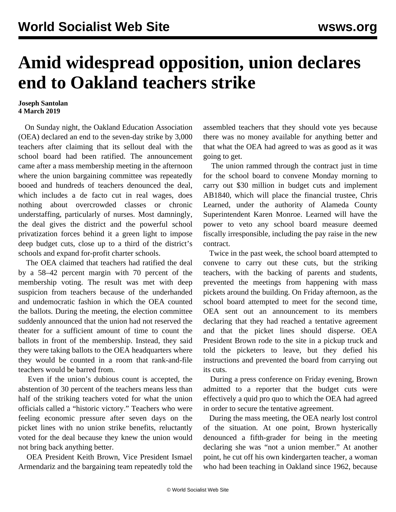## **Amid widespread opposition, union declares end to Oakland teachers strike**

## **Joseph Santolan 4 March 2019**

 On Sunday night, the Oakland Education Association (OEA) declared an end to the seven-day strike by 3,000 teachers after claiming that its sellout deal with the school board had been ratified. The announcement came after a mass membership meeting in the afternoon where the union bargaining committee was repeatedly booed and hundreds of teachers denounced the deal, which includes a de facto cut in real wages, does nothing about overcrowded classes or chronic understaffing, particularly of nurses. Most damningly, the deal gives the district and the powerful school privatization forces behind it a green light to impose deep budget cuts, close up to a third of the district's schools and expand for-profit charter schools.

 The OEA claimed that teachers had ratified the deal by a 58–42 percent margin with 70 percent of the membership voting. The result was met with deep suspicion from teachers because of the underhanded and undemocratic fashion in which the OEA counted the ballots. During the meeting, the election committee suddenly announced that the union had not reserved the theater for a sufficient amount of time to count the ballots in front of the membership. Instead, they said they were taking ballots to the OEA headquarters where they would be counted in a room that rank-and-file teachers would be barred from.

 Even if the union's dubious count is accepted, the abstention of 30 percent of the teachers means less than half of the striking teachers voted for what the union officials called a "historic victory." Teachers who were feeling economic pressure after seven days on the picket lines with no union strike benefits, reluctantly voted for the deal because they knew the union would not bring back anything better.

 OEA President Keith Brown, Vice President Ismael Armendariz and the bargaining team repeatedly told the assembled teachers that they should vote yes because there was no money available for anything better and that what the OEA had agreed to was as good as it was going to get.

 The union rammed through the contract just in time for the school board to convene Monday morning to carry out \$30 million in budget cuts and implement AB1840, which will place the financial trustee, Chris Learned, under the authority of Alameda County Superintendent Karen Monroe. Learned will have the power to veto any school board measure deemed fiscally irresponsible, including the pay raise in the new contract.

 Twice in the past week, the school board attempted to convene to carry out these cuts, but the striking teachers, with the backing of parents and students, prevented the meetings from happening with mass pickets around the building. On Friday afternoon, as the school board attempted to meet for the second time, OEA sent out an announcement to its members declaring that they had reached a tentative agreement and that the picket lines should disperse. OEA President Brown rode to the site in a pickup truck and told the picketers to leave, but they defied his instructions and prevented the board from carrying out its cuts.

 During a press conference on Friday evening, Brown admitted to a reporter that the budget cuts were effectively a quid pro quo to which the OEA had agreed in order to secure the tentative agreement.

 During the mass meeting, the OEA nearly lost control of the situation. At one point, Brown hysterically denounced a fifth-grader for being in the meeting declaring she was "not a union member." At another point, he cut off his own kindergarten teacher, a woman who had been teaching in Oakland since 1962, because